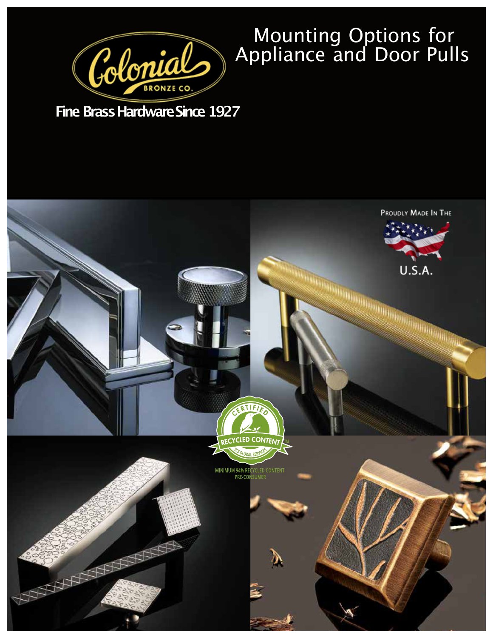

## Mounting Options for Appliance and Door Pulls

**Fine Brass Hardware Since 1927** 

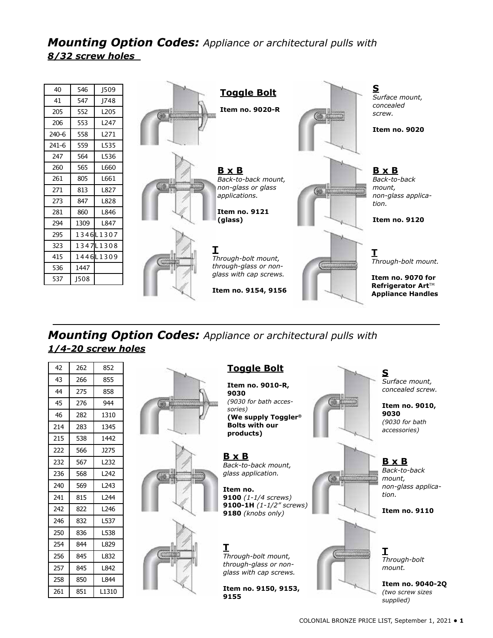*Mounting Option Codes: Appliance or architectural pulls with 8/32 screw holes*



## *Mounting Option Codes: Appliance or architectural pulls with 1/4-20 screw holes*

| 42  | 262 | 852              | <b>Toggle Bolt</b>                              | S                              |
|-----|-----|------------------|-------------------------------------------------|--------------------------------|
| 43  | 266 | 855              | Item no. 9010-R,                                | Surface mount,                 |
| 44  | 275 | 858              | 9030                                            | concealed screw.               |
| 45  | 276 | 944              | (9030 for bath acces-                           | Item no. 9010,                 |
| 46  | 282 | 1310             | sories)<br>(We supply Toggler®                  | 9030                           |
| 214 | 283 | 1345             | <b>Bolts with our</b>                           | (9030 for bath<br>accessories) |
| 215 | 538 | 1442             | products)                                       |                                |
| 222 | 566 | <b>J275</b>      |                                                 |                                |
| 232 | 567 | L <sub>232</sub> | <b>B</b> x B<br>Back-to-back mount,             | <u>B x B</u>                   |
| 236 | 568 | L242             | glass application.                              | Back-to-back<br>mount,         |
| 240 | 569 | L243             | Item no.                                        | non-glass applica-             |
| 241 | 815 | L244             | 9100 $(1 - 1/4$ screws)                         | tion.                          |
| 242 | 822 | L246             | 9100-1H $(1-1/2''$ screws)<br>9180 (knobs only) | <b>Item no. 9110</b>           |
| 246 | 832 | L537             |                                                 |                                |
| 250 | 836 | L538             |                                                 |                                |
| 254 | 844 | L829             |                                                 |                                |
| 256 | 845 | L832             | Through-bolt mount,                             | Through-bolt                   |
| 257 | 845 | L842             | through-glass or non-<br>glass with cap screws. | mount.                         |
| 258 | 850 | L844             |                                                 | Item no. 9040-20               |
| 261 | 851 | L1310            | Item no. 9150, 9153,<br>9155                    | (two screw sizes               |
|     |     |                  |                                                 | supplied)                      |